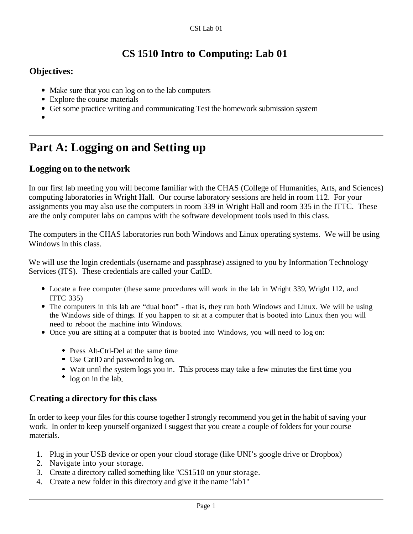### **CS 1510 Intro to Computing: Lab 01**

#### **Objectives:**

- Make sure that you can log on to the lab computers
- Explore the course materials
- Get some practice writing and communicating Test the homework submission system
- 

## **Part A: Logging on and Setting up**

#### **Logging on to the network**

In our first lab meeting you will become familiar with the CHAS (College of Humanities, Arts, and Sciences) computing laboratories in Wright Hall. Our course laboratory sessions are held in room 112. For your assignments you may also use the computers in room 339 in Wright Hall and room 335 in the ITTC. These are the only computer labs on campus with the software development tools used in this class.

The computers in the CHAS laboratories run both Windows and Linux operating systems. We will be using Windows in this class.

We will use the login credentials (username and passphrase) assigned to you by Information Technology Services (ITS). These credentials are called your CatID.

- Locate a free computer (these same procedures will work in the lab in Wright 339, Wright 112, and ITTC 335)
- The computers in this lab are "dual boot" that is, they run both Windows and Linux. We will be using the Windows side of things. If you happen to sit at a computer that is booted into Linux then you will need to reboot the machine into Windows.
- Once you are sitting at a computer that is booted into Windows, you will need to log on:
	- Press Alt-Ctrl-Del at the same time
	- Use CatID and password to log on.
	- Wait until the system logs you in. This process may take a few minutes the first time you
	- log on in the lab.

#### **Creating a directory for this class**

In order to keep your files for this course together I strongly recommend you get in the habit of saving your work. In order to keep yourself organized I suggest that you create a couple of folders for your course materials.

- 1. Plug in your USB device or open your cloud storage (like UNI's google drive or Dropbox)
- 2. Navigate into your storage.
- 3. Create a directory called something like "CS1510 on your storage.
- 4. Create a new folder in this directory and give it the name "lab1"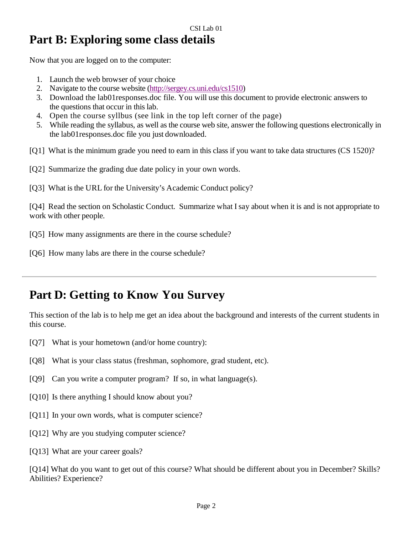## **Part B: Exploring some class details**

Now that you are logged on to the computer:

- 1. Launch the web browser of your choice
- 2. Navigate to the course website [\(http://sergey.cs.uni.edu/cs1510\)](http://sergey.cs.uni.edu/cs1510)
- 3. Download the lab01responses.doc file. You will use this document to provide electronic answers to the questions that occur in this lab.
- 4. Open the course syllbus (see link in the top left corner of the page)
- 5. While reading the syllabus, as well as the course web site, answer the following questions electronically in the lab01responses.doc file you just downloaded.
- [Q1] What is the minimum grade you need to earn in this class if you want to take data structures (CS 1520)?
- [Q2] Summarize the grading due date policy in your own words.
- [Q3] What is the URL for the University's Academic Conduct policy?

[Q4] Read the section on Scholastic Conduct. Summarize what Isay about when it is and is not appropriate to work with other people.

[Q5] How many assignments are there in the course schedule?

[Q6] How many labs are there in the course schedule?

## **Part D: Getting to Know You Survey**

This section of the lab is to help me get an idea about the background and interests of the current students in this course.

- [Q7] What is your hometown (and/or home country):
- [Q8] What is your class status (freshman, sophomore, grad student, etc).
- [Q9] Can you write a computer program? If so, in what language(s).
- [Q10] Is there anything I should know about you?
- [Q11] In your own words, what is computer science?
- [Q12] Why are you studying computer science?
- [Q13] What are your career goals?

[Q14] What do you want to get out of this course? What should be different about you in December? Skills? Abilities? Experience?